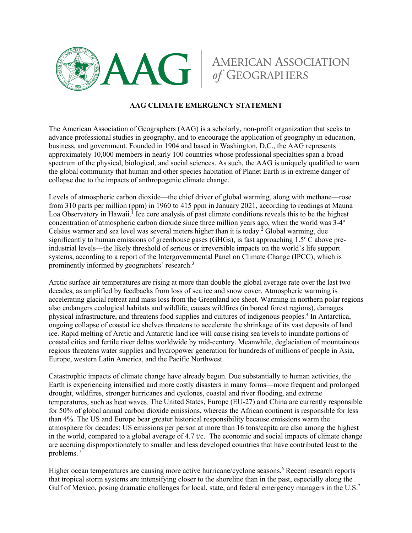

## **AMERICAN ASSOCIATION**

## **AAG CLIMATE EMERGENCY STATEMENT**

The American Association of Geographers (AAG) is a scholarly, non-profit organization that seeks to advance professional studies in geography, and to encourage the application of geography in education, business, and government. Founded in 1904 and based in Washington, D.C., the AAG represents approximately 10,000 members in nearly 100 countries whose professional specialties span a broad spectrum of the physical, biological, and social sciences. As such, the AAG is uniquely qualified to warn the global community that human and other species habitation of Planet Earth is in extreme danger of collapse due to the impacts of anthropogenic climate change.

Levels of atmospheric carbon dioxide––the chief driver of global warming, along with methane––rose from 310 parts per million (ppm) in 1960 to 415 ppm in January 2021, according to readings at Mauna Loa Observatory in Hawaii.<sup>1</sup> Ice core analysis of past climate conditions reveals this to be the highest concentration of atmospheric carbon dioxide since three million years ago, when the world was  $3-4^{\circ}$ Celsius warmer and sea level was several meters higher than it is today.<sup>2</sup> Global warming, due significantly to human emissions of greenhouse gases (GHGs), is fast approaching  $1.5^{\circ}$ C above preindustrial levels––the likely threshold of serious or irreversible impacts on the world's life support systems, according to a report of the Intergovernmental Panel on Climate Change (IPCC), which is prominently informed by geographers' research.<sup>3</sup>

Arctic surface air temperatures are rising at more than double the global average rate over the last two decades, as amplified by feedbacks from loss of sea ice and snow cover. Atmospheric warming is accelerating glacial retreat and mass loss from the Greenland ice sheet. Warming in northern polar regions also endangers ecological habitats and wildlife, causes wildfires (in boreal forest regions), damages physical infrastructure, and threatens food supplies and cultures of indigenous peoples.4 In Antarctica, ongoing collapse of coastal ice shelves threatens to accelerate the shrinkage of its vast deposits of land ice. Rapid melting of Arctic and Antarctic land ice will cause rising sea levels to inundate portions of coastal cities and fertile river deltas worldwide by mid-century. Meanwhile, deglaciation of mountainous regions threatens water supplies and hydropower generation for hundreds of millions of people in Asia, Europe, western Latin America, and the Pacific Northwest.

Catastrophic impacts of climate change have already begun. Due substantially to human activities, the Earth is experiencing intensified and more costly disasters in many forms––more frequent and prolonged drought, wildfires, stronger hurricanes and cyclones, coastal and river flooding, and extreme temperatures, such as heat waves. The United States, Europe (EU-27) and China are currently responsible for 50% of global annual carbon dioxide emissions, whereas the African continent is responsible for less than 4%. The US and Europe bear greater historical responsibility because emissions warm the atmosphere for decades; US emissions per person at more than 16 tons/capita are also among the highest in the world, compared to a global average of 4.7 t/c. The economic and social impacts of climate change are accruing disproportionately to smaller and less developed countries that have contributed least to the problems. <sup>5</sup>

Higher ocean temperatures are causing more active hurricane/cyclone seasons.<sup>6</sup> Recent research reports that tropical storm systems are intensifying closer to the shoreline than in the past, especially along the Gulf of Mexico, posing dramatic challenges for local, state, and federal emergency managers in the U.S.<sup>7</sup>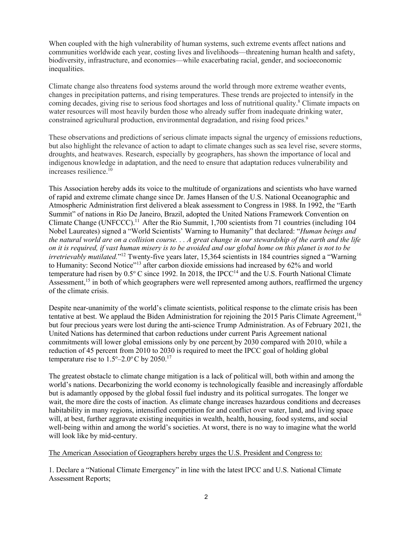When coupled with the high vulnerability of human systems, such extreme events affect nations and communities worldwide each year, costing lives and livelihoods––threatening human health and safety, biodiversity, infrastructure, and economies––while exacerbating racial, gender, and socioeconomic inequalities.

Climate change also threatens food systems around the world through more extreme weather events, changes in precipitation patterns, and rising temperatures. These trends are projected to intensify in the coming decades, giving rise to serious food shortages and loss of nutritional quality.8 Climate impacts on water resources will most heavily burden those who already suffer from inadequate drinking water, constrained agricultural production, environmental degradation, and rising food prices.<sup>9</sup>

These observations and predictions of serious climate impacts signal the urgency of emissions reductions, but also highlight the relevance of action to adapt to climate changes such as sea level rise, severe storms, droughts, and heatwaves. Research, especially by geographers, has shown the importance of local and indigenous knowledge in adaptation, and the need to ensure that adaptation reduces vulnerability and increases resilience.10

This Association hereby adds its voice to the multitude of organizations and scientists who have warned of rapid and extreme climate change since Dr. James Hansen of the U.S. National Oceanographic and Atmospheric Administration first delivered a bleak assessment to Congress in 1988. In 1992, the "Earth Summit" of nations in Rio De Janeiro, Brazil, adopted the United Nations Framework Convention on Climate Change (UNFCCC).11 After the Rio Summit, 1,700 scientists from 71 countries (including 104 Nobel Laureates) signed a "World Scientists' Warning to Humanity" that declared: "*Human beings and the natural world are on a collision course. . . A great change in our stewardship of the earth and the life on it is required, if vast human misery is to be avoided and our global home on this planet is not to be irretrievably mutilated.*"<sup>12</sup> Twenty-five years later, 15,364 scientists in 184 countries signed a "Warning" to Humanity: Second Notice"<sup>13</sup> after carbon dioxide emissions had increased by 62% and world temperature had risen by  $0.5^{\circ}$  C since 1992. In 2018, the IPCC<sup>14</sup> and the U.S. Fourth National Climate Assessment,<sup>15</sup> in both of which geographers were well represented among authors, reaffirmed the urgency of the climate crisis.

Despite near-unanimity of the world's climate scientists, political response to the climate crisis has been tentative at best. We applaud the Biden Administration for rejoining the 2015 Paris Climate Agreement,<sup>16</sup> but four precious years were lost during the anti-science Trump Administration. As of February 2021, the United Nations has determined that carbon reductions under current Paris Agreement national commitments will lower global emissions only by one percent by 2030 compared with 2010, while a reduction of 45 percent from 2010 to 2030 is required to meet the IPCC goal of holding global temperature rise to  $1.5^{\circ}$ –2.0°C by 2050.<sup>17</sup>

The greatest obstacle to climate change mitigation is a lack of political will, both within and among the world's nations. Decarbonizing the world economy is technologically feasible and increasingly affordable but is adamantly opposed by the global fossil fuel industry and its political surrogates. The longer we wait, the more dire the costs of inaction. As climate change increases hazardous conditions and decreases habitability in many regions, intensified competition for and conflict over water, land, and living space will, at best, further aggravate existing inequities in wealth, health, housing, food systems, and social well-being within and among the world's societies. At worst, there is no way to imagine what the world will look like by mid-century.

## The American Association of Geographers hereby urges the U.S. President and Congress to:

1. Declare a "National Climate Emergency" in line with the latest IPCC and U.S. National Climate Assessment Reports;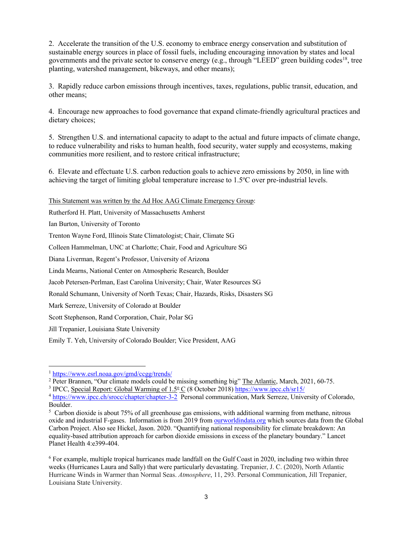2. Accelerate the transition of the U.S. economy to embrace energy conservation and substitution of sustainable energy sources in place of fossil fuels, including encouraging innovation by states and local governments and the private sector to conserve energy (e.g., through "LEED" green building codes<sup>18</sup>, tree planting, watershed management, bikeways, and other means);

3. Rapidly reduce carbon emissions through incentives, taxes, regulations, public transit, education, and other means;

4. Encourage new approaches to food governance that expand climate-friendly agricultural practices and dietary choices;

5. Strengthen U.S. and international capacity to adapt to the actual and future impacts of climate change, to reduce vulnerability and risks to human health, food security, water supply and ecosystems, making communities more resilient, and to restore critical infrastructure;

6. Elevate and effectuate U.S. carbon reduction goals to achieve zero emissions by 2050, in line with achieving the target of limiting global temperature increase to 1.5°C over pre-industrial levels.

This Statement was written by the Ad Hoc AAG Climate Emergency Group:

Rutherford H. Platt, University of Massachusetts Amherst

Ian Burton, University of Toronto

Trenton Wayne Ford, Illinois State Climatologist; Chair, Climate SG

Colleen Hammelman, UNC at Charlotte; Chair, Food and Agriculture SG

Diana Liverman, Regent's Professor, University of Arizona

Linda Mearns, National Center on Atmospheric Research, Boulder

Jacob Petersen-Perlman, East Carolina University; Chair, Water Resources SG

Ronald Schumann, University of North Texas; Chair, Hazards, Risks, Disasters SG

Mark Serreze, University of Colorado at Boulder

Scott Stephenson, Rand Corporation, Chair, Polar SG

Jill Trepanier, Louisiana State University

Emily T. Yeh, University of Colorado Boulder; Vice President, AAG

<sup>3</sup> IPCC, Special Report: Global Warming of  $1.5^{\circ}$  C (8 October 2018) https://www.ipcc.ch/sr15/

 $\frac{1 \text{ https://www.esrl.noaa.gov/gmd/ccgg/ trends/}}{2 \text{ Peter Brannen}, \text{"Our climate models could be missing something big"}$  The Atlantic, March, 2021, 60-75.

<sup>&</sup>lt;sup>4</sup> https://www.ipcc.ch/srocc/chapter/chapter-3-2 Personal communication, Mark Serreze, University of Colorado, Boulder.

<sup>&</sup>lt;sup>5</sup> Carbon dioxide is about 75% of all greenhouse gas emissions, with additional warming from methane, nitrous oxide and industrial F-gases. Information is from 2019 from ourworldindata.org which sources data from the Global Carbon Project. Also see Hickel, Jason. 2020. "Quantifying national responsibility for climate breakdown: An equality-based attribution approach for carbon dioxide emissions in excess of the planetary boundary." Lancet Planet Health 4:e399-404.

<sup>6</sup> For example, multiple tropical hurricanes made landfall on the Gulf Coast in 2020, including two within three weeks (Hurricanes Laura and Sally) that were particularly devastating. Trepanier, J. C. (2020), North Atlantic Hurricane Winds in Warmer than Normal Seas. *Atmosphere*, 11, 293. Personal Communication, Jill Trepanier, Louisiana State University.